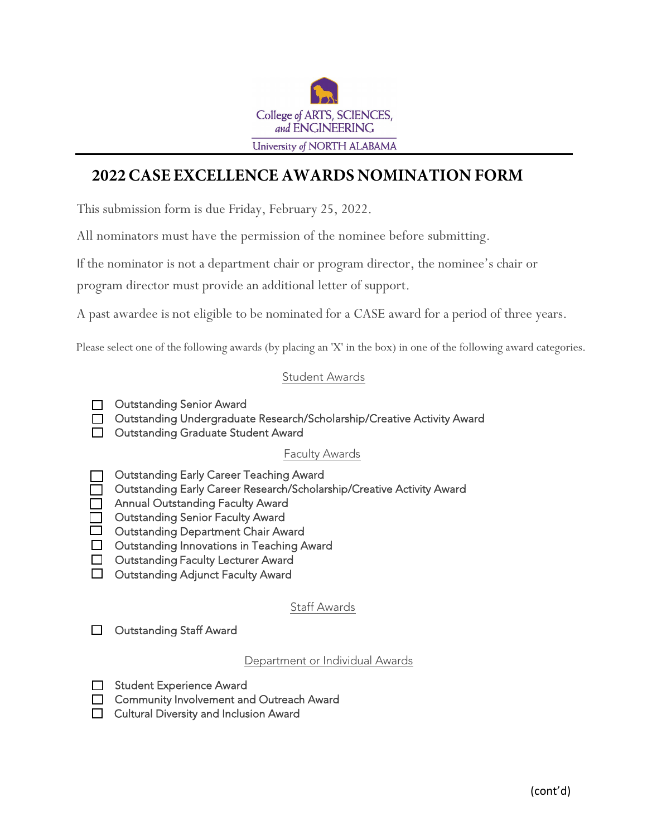

# **2022 CASE EXCELLENCE AWARDS NOMINATION FORM**

This submission form is due Friday, February 25, 2022.

All nominators must have the permission of the nominee before submitting.

If the nominator is not a department chair or program director, the nominee's chair or

program director must provide an additional letter of support.

A past awardee is not eligible to be nominated for a CASE award for a period of three years.

Please select one of the following awards (by placing an 'X' in the box) in one of the following award categories.

#### Student Awards

- □ Outstanding Senior Award
- □ Outstanding Undergraduate Research/Scholarship/Creative Activity Award
- **Outstanding Graduate Student Award**

#### Faculty Awards

- Outstanding Early Career Teaching Award
- Outstanding Early Career Research/Scholarship/Creative Activity Award
- **Annual Outstanding Faculty Award**
- Outstanding Senior Faculty Award
- $\Box$  Outstanding Department Chair Award
- □ Outstanding Innovations in Teaching Award
- □ Outstanding Faculty Lecturer Award
- $\Box$  Outstanding Adjunct Faculty Award

### Staff Awards

Outstanding Staff Award П.

Department or Individual Awards

- □ Student Experience Award
- **Community Involvement and Outreach Award**
- **Cultural Diversity and Inclusion Award**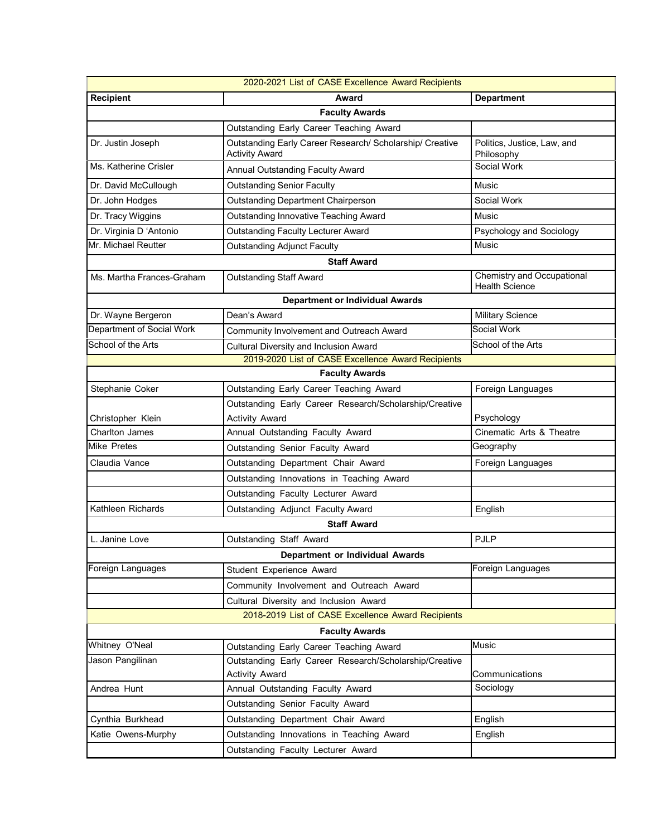| 2020-2021 List of CASE Excellence Award Recipients |                                                                                   |                                                     |  |
|----------------------------------------------------|-----------------------------------------------------------------------------------|-----------------------------------------------------|--|
| <b>Recipient</b>                                   | Award                                                                             | <b>Department</b>                                   |  |
| <b>Faculty Awards</b>                              |                                                                                   |                                                     |  |
|                                                    | Outstanding Early Career Teaching Award                                           |                                                     |  |
| Dr. Justin Joseph                                  | Outstanding Early Career Research/ Scholarship/ Creative<br><b>Activity Award</b> | Politics, Justice, Law, and<br>Philosophy           |  |
| Ms. Katherine Crisler                              | Annual Outstanding Faculty Award                                                  | Social Work                                         |  |
| Dr. David McCullough                               | <b>Outstanding Senior Faculty</b>                                                 | Music                                               |  |
| Dr. John Hodges                                    | <b>Outstanding Department Chairperson</b>                                         | Social Work                                         |  |
| Dr. Tracy Wiggins                                  | Outstanding Innovative Teaching Award                                             | Music                                               |  |
| Dr. Virginia D 'Antonio                            | <b>Outstanding Faculty Lecturer Award</b>                                         | Psychology and Sociology                            |  |
| Mr. Michael Reutter                                | <b>Outstanding Adjunct Faculty</b>                                                | Music                                               |  |
| <b>Staff Award</b>                                 |                                                                                   |                                                     |  |
| Ms. Martha Frances-Graham                          | <b>Outstanding Staff Award</b>                                                    | Chemistry and Occupational<br><b>Health Science</b> |  |
| <b>Department or Individual Awards</b>             |                                                                                   |                                                     |  |
| Dr. Wayne Bergeron                                 | Dean's Award                                                                      | <b>Military Science</b>                             |  |
| Department of Social Work                          | Community Involvement and Outreach Award                                          | Social Work                                         |  |
| School of the Arts                                 | <b>Cultural Diversity and Inclusion Award</b>                                     | School of the Arts                                  |  |
|                                                    | 2019-2020 List of CASE Excellence Award Recipients                                |                                                     |  |
|                                                    | <b>Faculty Awards</b>                                                             |                                                     |  |
| Stephanie Coker                                    | Outstanding Early Career Teaching Award                                           | Foreign Languages                                   |  |
|                                                    | Outstanding Early Career Research/Scholarship/Creative                            |                                                     |  |
| Christopher Klein                                  | <b>Activity Award</b>                                                             | Psychology                                          |  |
| <b>Charlton James</b>                              | Annual Outstanding Faculty Award                                                  | Cinematic Arts & Theatre                            |  |
| <b>Mike Pretes</b>                                 | Outstanding Senior Faculty Award                                                  | Geography                                           |  |
| Claudia Vance                                      | Outstanding Department Chair Award                                                | Foreign Languages                                   |  |
|                                                    | Outstanding Innovations in Teaching Award                                         |                                                     |  |
|                                                    | Outstanding Faculty Lecturer Award                                                |                                                     |  |
| Kathleen Richards                                  | Outstanding Adjunct Faculty Award                                                 | English                                             |  |
| <b>Staff Award</b>                                 |                                                                                   |                                                     |  |
| L. Janine Love                                     | Outstanding Staff Award                                                           | <b>PJLP</b>                                         |  |
| <b>Department or Individual Awards</b>             |                                                                                   |                                                     |  |
| Foreign Languages                                  | Student Experience Award                                                          | Foreign Languages                                   |  |
|                                                    | Community Involvement and Outreach Award                                          |                                                     |  |
|                                                    | Cultural Diversity and Inclusion Award                                            |                                                     |  |
|                                                    | 2018-2019 List of CASE Excellence Award Recipients                                |                                                     |  |
|                                                    | <b>Faculty Awards</b>                                                             |                                                     |  |
| Whitney O'Neal                                     | Outstanding Early Career Teaching Award                                           | Music                                               |  |
| Jason Pangilinan                                   | Outstanding Early Career Research/Scholarship/Creative                            |                                                     |  |
|                                                    | <b>Activity Award</b>                                                             | Communications                                      |  |
| Andrea Hunt                                        | Annual Outstanding Faculty Award                                                  | Sociology                                           |  |
|                                                    | Outstanding Senior Faculty Award                                                  |                                                     |  |
| Cynthia Burkhead                                   | Outstanding Department Chair Award                                                | English                                             |  |
| Katie Owens-Murphy                                 | Outstanding Innovations in Teaching Award                                         | English                                             |  |
|                                                    | Outstanding Faculty Lecturer Award                                                |                                                     |  |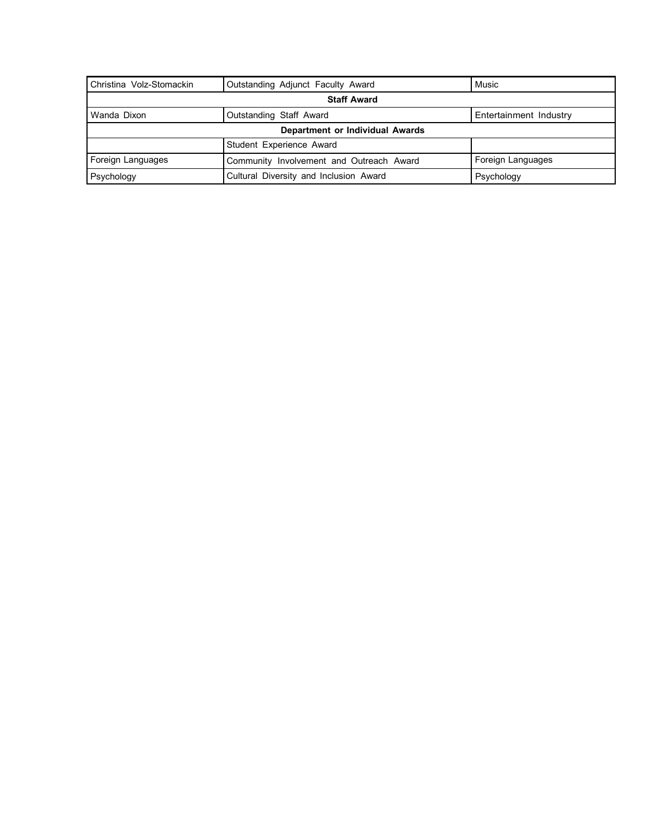| Christina Volz-Stomackin        | Outstanding Adjunct Faculty Award        | Music                  |  |
|---------------------------------|------------------------------------------|------------------------|--|
| <b>Staff Award</b>              |                                          |                        |  |
| Wanda Dixon                     | Outstanding Staff Award                  | Entertainment Industry |  |
| Department or Individual Awards |                                          |                        |  |
|                                 | Student Experience Award                 |                        |  |
| Foreign Languages               | Community Involvement and Outreach Award | Foreign Languages      |  |
| Psychology                      | Cultural Diversity and Inclusion Award   | Psychology             |  |